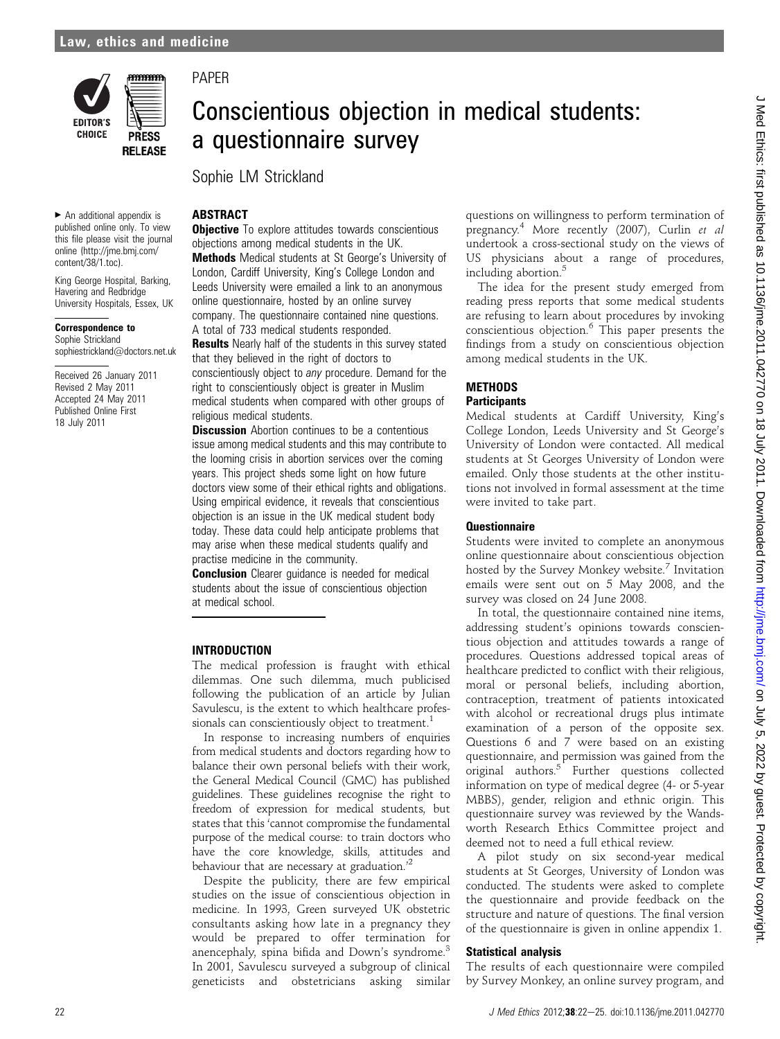

 $\blacktriangleright$  An additional appendix is published online only. To view this file please visit the journal online (http://jme.bmj.com/ content/38/1.toc).

King George Hospital, Barking, Havering and Redbridge University Hospitals, Essex, UK

sophiestrickland@doctors.net.uk Received 26 January 2011 Revised 2 May 2011 Accepted 24 May 2011 Published Online First 18 July 2011

Correspondence to Sophie Strickland

### PAPER

## Conscientious objection in medical students: a questionnaire survey

Sophie LM Strickland

#### **ABSTRACT**

**Objective** To explore attitudes towards conscientious objections among medical students in the UK. Methods Medical students at St George's University of London, Cardiff University, King's College London and Leeds University were emailed a link to an anonymous online questionnaire, hosted by an online survey company. The questionnaire contained nine questions. A total of 733 medical students responded.

**Results** Nearly half of the students in this survey stated that they believed in the right of doctors to conscientiously object to any procedure. Demand for the right to conscientiously object is greater in Muslim medical students when compared with other groups of religious medical students.

**Discussion** Abortion continues to be a contentious issue among medical students and this may contribute to the looming crisis in abortion services over the coming years. This project sheds some light on how future doctors view some of their ethical rights and obligations. Using empirical evidence, it reveals that conscientious objection is an issue in the UK medical student body today. These data could help anticipate problems that may arise when these medical students qualify and practise medicine in the community.

**Conclusion** Clearer quidance is needed for medical students about the issue of conscientious objection at medical school.

#### INTRODUCTION

The medical profession is fraught with ethical dilemmas. One such dilemma, much publicised following the publication of an article by Julian Savulescu, is the extent to which healthcare professionals can conscientiously object to treatment. $<sup>1</sup>$ </sup>

In response to increasing numbers of enquiries from medical students and doctors regarding how to balance their own personal beliefs with their work, the General Medical Council (GMC) has published guidelines. These guidelines recognise the right to freedom of expression for medical students, but states that this 'cannot compromise the fundamental purpose of the medical course: to train doctors who have the core knowledge, skills, attitudes and behaviour that are necessary at graduation.<sup>22</sup>

Despite the publicity, there are few empirical studies on the issue of conscientious objection in medicine. In 1993, Green surveyed UK obstetric consultants asking how late in a pregnancy they would be prepared to offer termination for anencephaly, spina bifida and Down's syndrome.<sup>3</sup> In 2001, Savulescu surveyed a subgroup of clinical geneticists and obstetricians asking similar questions on willingness to perform termination of pregnancy.4 More recently (2007), Curlin et al undertook a cross-sectional study on the views of US physicians about a range of procedures, including abortion.<sup>5</sup>

The idea for the present study emerged from reading press reports that some medical students are refusing to learn about procedures by invoking conscientious objection.<sup>6</sup> This paper presents the findings from a study on conscientious objection among medical students in the UK.

#### **METHODS Participants**

Medical students at Cardiff University, King's College London, Leeds University and St George's University of London were contacted. All medical students at St Georges University of London were emailed. Only those students at the other institutions not involved in formal assessment at the time were invited to take part.

#### **Ouestionnaire**

Students were invited to complete an anonymous online questionnaire about conscientious objection hosted by the Survey Monkey website.<sup>7</sup> Invitation emails were sent out on 5 May 2008, and the survey was closed on 24 June 2008.

In total, the questionnaire contained nine items, addressing student's opinions towards conscientious objection and attitudes towards a range of procedures. Questions addressed topical areas of healthcare predicted to conflict with their religious, moral or personal beliefs, including abortion, contraception, treatment of patients intoxicated with alcohol or recreational drugs plus intimate examination of a person of the opposite sex. Questions 6 and 7 were based on an existing questionnaire, and permission was gained from the original authors.<sup>5</sup> Further questions collected information on type of medical degree (4- or 5-year MBBS), gender, religion and ethnic origin. This questionnaire survey was reviewed by the Wandsworth Research Ethics Committee project and deemed not to need a full ethical review.

A pilot study on six second-year medical students at St Georges, University of London was conducted. The students were asked to complete the questionnaire and provide feedback on the structure and nature of questions. The final version of the questionnaire is given in online appendix 1.

#### Statistical analysis

The results of each questionnaire were compiled by Survey Monkey, an online survey program, and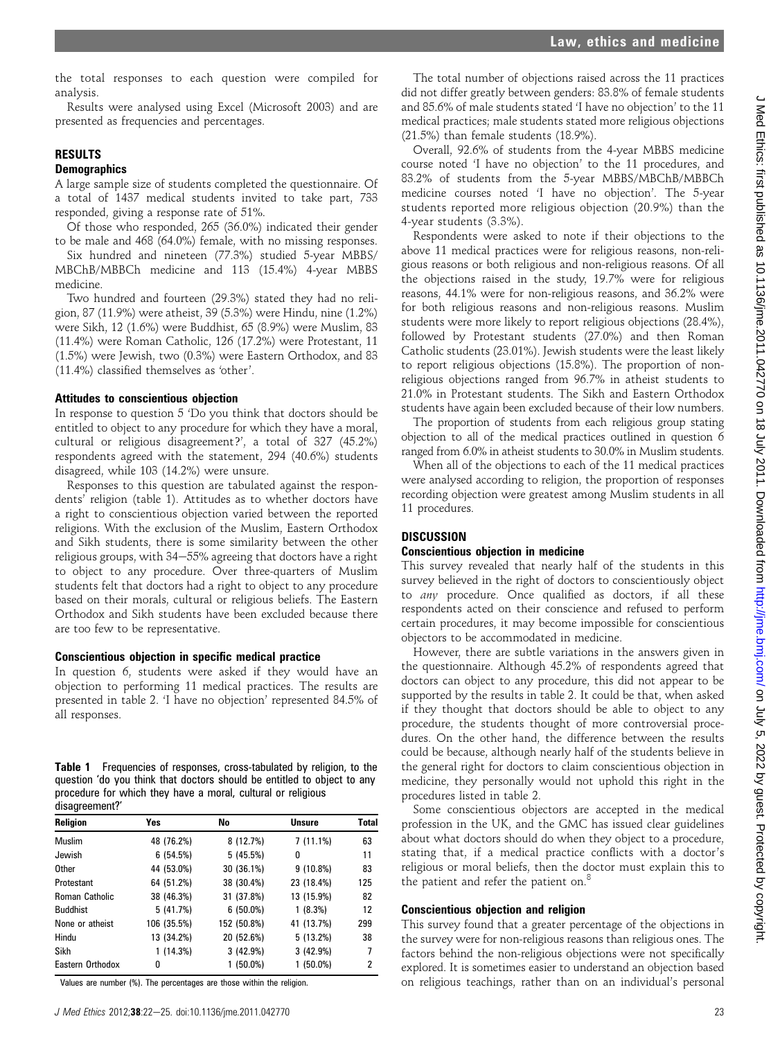J Med Ethics: first published as 10.1136/jme.2011.042770 on 18 July 2011. Downloaded from http://jme.bmj.com/ on July 5, 2022 by guest. Protected by copyright on July 5, 2022 by guest. Protected by copyright. <http://jme.bmj.com/> J Med Ethics: first published as 10.1136/jme.2011.042770 on 18 July 2011. Downloaded from

the total responses to each question were compiled for analysis.

Results were analysed using Excel (Microsoft 2003) and are presented as frequencies and percentages.

#### RESULTS

#### **Demographics**

A large sample size of students completed the questionnaire. Of a total of 1437 medical students invited to take part, 733 responded, giving a response rate of 51%.

Of those who responded, 265 (36.0%) indicated their gender to be male and 468 (64.0%) female, with no missing responses.

Six hundred and nineteen (77.3%) studied 5-year MBBS/ MBChB/MBBCh medicine and 113 (15.4%) 4-year MBBS medicine.

Two hundred and fourteen (29.3%) stated they had no religion, 87 (11.9%) were atheist, 39 (5.3%) were Hindu, nine (1.2%) were Sikh, 12 (1.6%) were Buddhist, 65 (8.9%) were Muslim, 83 (11.4%) were Roman Catholic, 126 (17.2%) were Protestant, 11 (1.5%) were Jewish, two (0.3%) were Eastern Orthodox, and 83 (11.4%) classified themselves as 'other'.

#### Attitudes to conscientious objection

In response to question 5 'Do you think that doctors should be entitled to object to any procedure for which they have a moral, cultural or religious disagreement?', a total of 327 (45.2%) respondents agreed with the statement, 294 (40.6%) students disagreed, while 103 (14.2%) were unsure.

Responses to this question are tabulated against the respondents' religion (table 1). Attitudes as to whether doctors have a right to conscientious objection varied between the reported religions. With the exclusion of the Muslim, Eastern Orthodox and Sikh students, there is some similarity between the other religious groups, with  $34-55%$  agreeing that doctors have a right to object to any procedure. Over three-quarters of Muslim students felt that doctors had a right to object to any procedure based on their morals, cultural or religious beliefs. The Eastern Orthodox and Sikh students have been excluded because there are too few to be representative.

#### Conscientious objection in specific medical practice

In question 6, students were asked if they would have an objection to performing 11 medical practices. The results are presented in table 2. 'I have no objection' represented 84.5% of all responses.

Table 1 Frequencies of responses, cross-tabulated by religion, to the question 'do you think that doctors should be entitled to object to any procedure for which they have a moral, cultural or religious disagreement?'

| <b>Religion</b>  | Yes         | No          | <b>Unsure</b> | <b>Total</b> |
|------------------|-------------|-------------|---------------|--------------|
| Muslim           | 48 (76.2%)  | 8 (12.7%)   | $7(11.1\%)$   | 63           |
| Jewish           | 6(54.5%)    | 5(45.5%)    | 0             | 11           |
| Other            | 44 (53.0%)  | 30 (36.1%)  | $9(10.8\%)$   | 83           |
| Protestant       | 64 (51.2%)  | 38 (30.4%)  | 23 (18.4%)    | 125          |
| Roman Catholic   | 38 (46.3%)  | 31 (37.8%)  | 13 (15.9%)    | 82           |
| <b>Buddhist</b>  | 5 (41.7%)   | $6(50.0\%)$ | 1(8.3%)       | 12           |
| None or atheist  | 106 (35.5%) | 152 (50.8%) | 41 (13.7%)    | 299          |
| Hindu            | 13 (34.2%)  | 20 (52.6%)  | 5 (13.2%)     | 38           |
| Sikh             | 1 (14.3%)   | 3(42.9%)    | 3(42.9%)      | 7            |
| Eastern Orthodox | 0           | $1(50.0\%)$ | $1(50.0\%)$   | 2            |

Values are number (%). The percentages are those within the religion.

The total number of objections raised across the 11 practices did not differ greatly between genders: 83.8% of female students and 85.6% of male students stated 'I have no objection' to the 11 medical practices; male students stated more religious objections (21.5%) than female students (18.9%).

Overall, 92.6% of students from the 4-year MBBS medicine course noted 'I have no objection' to the 11 procedures, and 83.2% of students from the 5-year MBBS/MBChB/MBBCh medicine courses noted 'I have no objection'. The 5-year students reported more religious objection (20.9%) than the 4-year students (3.3%).

Respondents were asked to note if their objections to the above 11 medical practices were for religious reasons, non-religious reasons or both religious and non-religious reasons. Of all the objections raised in the study, 19.7% were for religious reasons, 44.1% were for non-religious reasons, and 36.2% were for both religious reasons and non-religious reasons. Muslim students were more likely to report religious objections (28.4%), followed by Protestant students (27.0%) and then Roman Catholic students (23.01%). Jewish students were the least likely to report religious objections (15.8%). The proportion of nonreligious objections ranged from 96.7% in atheist students to 21.0% in Protestant students. The Sikh and Eastern Orthodox students have again been excluded because of their low numbers.

The proportion of students from each religious group stating objection to all of the medical practices outlined in question 6 ranged from 6.0% in atheist students to 30.0% in Muslim students.

When all of the objections to each of the 11 medical practices were analysed according to religion, the proportion of responses recording objection were greatest among Muslim students in all 11 procedures.

#### **DISCUSSION**

#### Conscientious objection in medicine

This survey revealed that nearly half of the students in this survey believed in the right of doctors to conscientiously object to any procedure. Once qualified as doctors, if all these respondents acted on their conscience and refused to perform certain procedures, it may become impossible for conscientious objectors to be accommodated in medicine.

However, there are subtle variations in the answers given in the questionnaire. Although 45.2% of respondents agreed that doctors can object to any procedure, this did not appear to be supported by the results in table 2. It could be that, when asked if they thought that doctors should be able to object to any procedure, the students thought of more controversial procedures. On the other hand, the difference between the results could be because, although nearly half of the students believe in the general right for doctors to claim conscientious objection in medicine, they personally would not uphold this right in the procedures listed in table 2.

Some conscientious objectors are accepted in the medical profession in the UK, and the GMC has issued clear guidelines about what doctors should do when they object to a procedure, stating that, if a medical practice conflicts with a doctor's religious or moral beliefs, then the doctor must explain this to the patient and refer the patient on.<sup>8</sup>

#### Conscientious objection and religion

This survey found that a greater percentage of the objections in the survey were for non-religious reasons than religious ones. The factors behind the non-religious objections were not specifically explored. It is sometimes easier to understand an objection based on religious teachings, rather than on an individual's personal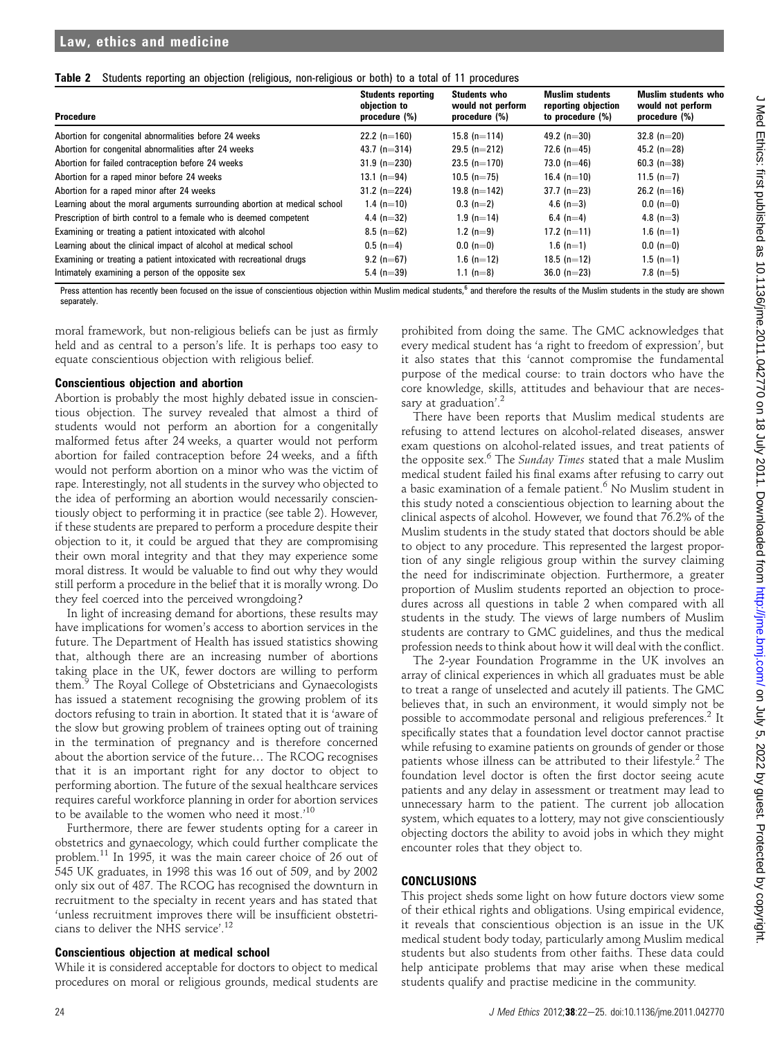|  | Table 2 Students reporting an objection (religious, non-religious or both) to a total of 11 procedures |  |  |  |  |  |  |  |
|--|--------------------------------------------------------------------------------------------------------|--|--|--|--|--|--|--|
|--|--------------------------------------------------------------------------------------------------------|--|--|--|--|--|--|--|

| <b>Procedure</b>                                                          | <b>Students reporting</b><br>objection to<br>procedure (%) | <b>Students who</b><br>would not perform<br>procedure (%) | <b>Muslim students</b><br>reporting objection<br>to procedure $(\%)$ | <b>Muslim students who</b><br>would not perform<br>procedure (%) |
|---------------------------------------------------------------------------|------------------------------------------------------------|-----------------------------------------------------------|----------------------------------------------------------------------|------------------------------------------------------------------|
| Abortion for congenital abnormalities before 24 weeks                     | 22.2 (n=160)                                               | 15.8 $(n=114)$                                            | 49.2 $(n=30)$                                                        | $32.8$ (n=20)                                                    |
| Abortion for congenital abnormalities after 24 weeks                      | 43.7 (n=314)                                               | $29.5$ (n=212)                                            | 72.6 $(n=45)$                                                        | 45.2 (n=28)                                                      |
| Abortion for failed contraception before 24 weeks                         | $31.9$ (n=230)                                             | $23.5$ (n=170)                                            | 73.0 $(n=46)$                                                        | 60.3 $(n=38)$                                                    |
| Abortion for a raped minor before 24 weeks                                | 13.1 $(n=94)$                                              | $10.5$ (n=75)                                             | 16.4 $(n=10)$                                                        | 11.5 $(n=7)$                                                     |
| Abortion for a raped minor after 24 weeks                                 | 31.2 $(n=224)$                                             | 19.8 $(n=142)$                                            | $37.7$ (n=23)                                                        | $26.2$ (n=16)                                                    |
| Learning about the moral arguments surrounding abortion at medical school | 1.4 (n=10)                                                 | $0.3$ (n=2)                                               | 4.6 $(n=3)$                                                          | $0.0(n=0)$                                                       |
| Prescription of birth control to a female who is deemed competent         | 4.4 (n=32)                                                 | $1.9$ (n=14)                                              | 6.4 $(n=4)$                                                          | 4.8 $(n=3)$                                                      |
| Examining or treating a patient intoxicated with alcohol                  | $8.5$ (n=62)                                               | 1.2 $(n=9)$                                               | 17.2 $(n=11)$                                                        | 1.6 $(n=1)$                                                      |
| Learning about the clinical impact of alcohol at medical school           | $0.5$ (n=4)                                                | $0.0 (n=0)$                                               | 1.6 $(n=1)$                                                          | $0.0(n=0)$                                                       |
| Examining or treating a patient intoxicated with recreational drugs       | $9.2$ (n=67)                                               | $1.6$ (n=12)                                              | 18.5 $(n=12)$                                                        | $1.5$ (n=1)                                                      |
| Intimately examining a person of the opposite sex                         | 5.4 (n=39)                                                 | 1.1 (n=8)                                                 | $36.0 (n=23)$                                                        | 7.8 $(n=5)$                                                      |

Press attention has recently been focused on the issue of conscientious objection within Muslim medical students,<sup>6</sup> and therefore the results of the Muslim students in the study are shown separately.

moral framework, but non-religious beliefs can be just as firmly held and as central to a person's life. It is perhaps too easy to equate conscientious objection with religious belief.

#### Conscientious objection and abortion

Abortion is probably the most highly debated issue in conscientious objection. The survey revealed that almost a third of students would not perform an abortion for a congenitally malformed fetus after 24 weeks, a quarter would not perform abortion for failed contraception before 24 weeks, and a fifth would not perform abortion on a minor who was the victim of rape. Interestingly, not all students in the survey who objected to the idea of performing an abortion would necessarily conscientiously object to performing it in practice (see table 2). However, if these students are prepared to perform a procedure despite their objection to it, it could be argued that they are compromising their own moral integrity and that they may experience some moral distress. It would be valuable to find out why they would still perform a procedure in the belief that it is morally wrong. Do they feel coerced into the perceived wrongdoing?

In light of increasing demand for abortions, these results may have implications for women's access to abortion services in the future. The Department of Health has issued statistics showing that, although there are an increasing number of abortions taking place in the UK, fewer doctors are willing to perform them.<sup>9</sup> The Royal College of Obstetricians and Gynaecologists has issued a statement recognising the growing problem of its doctors refusing to train in abortion. It stated that it is 'aware of the slow but growing problem of trainees opting out of training in the termination of pregnancy and is therefore concerned about the abortion service of the future. The RCOG recognises that it is an important right for any doctor to object to performing abortion. The future of the sexual healthcare services requires careful workforce planning in order for abortion services to be available to the women who need it most.' 10

Furthermore, there are fewer students opting for a career in obstetrics and gynaecology, which could further complicate the problem.<sup>11</sup> In 1995, it was the main career choice of 26 out of 545 UK graduates, in 1998 this was 16 out of 509, and by 2002 only six out of 487. The RCOG has recognised the downturn in recruitment to the specialty in recent years and has stated that 'unless recruitment improves there will be insufficient obstetricians to deliver the NHS service'. 12

#### Conscientious objection at medical school

While it is considered acceptable for doctors to object to medical procedures on moral or religious grounds, medical students are

prohibited from doing the same. The GMC acknowledges that every medical student has 'a right to freedom of expression', but it also states that this 'cannot compromise the fundamental purpose of the medical course: to train doctors who have the core knowledge, skills, attitudes and behaviour that are necessary at graduation'.<sup>2</sup>

There have been reports that Muslim medical students are refusing to attend lectures on alcohol-related diseases, answer exam questions on alcohol-related issues, and treat patients of the opposite sex.<sup>6</sup> The *Sunday Times* stated that a male Muslim medical student failed his final exams after refusing to carry out a basic examination of a female patient.<sup>6</sup> No Muslim student in this study noted a conscientious objection to learning about the clinical aspects of alcohol. However, we found that 76.2% of the Muslim students in the study stated that doctors should be able to object to any procedure. This represented the largest proportion of any single religious group within the survey claiming the need for indiscriminate objection. Furthermore, a greater proportion of Muslim students reported an objection to procedures across all questions in table 2 when compared with all students in the study. The views of large numbers of Muslim students are contrary to GMC guidelines, and thus the medical profession needs to think about how it will deal with the conflict.

The 2-year Foundation Programme in the UK involves an array of clinical experiences in which all graduates must be able to treat a range of unselected and acutely ill patients. The GMC believes that, in such an environment, it would simply not be possible to accommodate personal and religious preferences.<sup>2</sup> It specifically states that a foundation level doctor cannot practise while refusing to examine patients on grounds of gender or those patients whose illness can be attributed to their lifestyle.<sup>2</sup> The foundation level doctor is often the first doctor seeing acute patients and any delay in assessment or treatment may lead to unnecessary harm to the patient. The current job allocation system, which equates to a lottery, may not give conscientiously objecting doctors the ability to avoid jobs in which they might encounter roles that they object to.

#### CONCLUSIONS

This project sheds some light on how future doctors view some of their ethical rights and obligations. Using empirical evidence, it reveals that conscientious objection is an issue in the UK medical student body today, particularly among Muslim medical students but also students from other faiths. These data could help anticipate problems that may arise when these medical students qualify and practise medicine in the community.